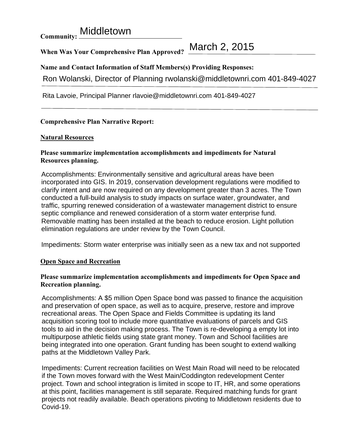**Community: Middletown** 

**When Was Your Comprehensive Plan Approved?** 

March 2, 2015

**Name and Contact Information of Staff Members(s) Providing Responses:** 

Ron Wolanski, Director of Planning rwolanski@middletownri.com 401-849-4027

Rita Lavoie, Principal Planner rlavoie@middletownri.com 401-849-4027

## **Comprehensive Plan Narrative Report:**

## **Natural Resources**

## **Please summarize implementation accomplishments and impediments for Natural Resources planning.**

Accomplishments: Environmentally sensitive and agricultural areas have been incorporated into GIS. In 2019, conservation development regulations were modified to clarify intent and are now required on any development greater than 3 acres. The Town conducted a full-build analysis to study impacts on surface water, groundwater, and traffic, spurring renewed consideration of a wastewater management district to ensure septic compliance and renewed consideration of a storm water enterprise fund. Removable matting has been installed at the beach to reduce erosion. Light pollution elimination regulations are under review by the Town Council.

Impediments: Storm water enterprise was initially seen as a new tax and not supported

## **Open Space and Recreation**

### **Please summarize implementation accomplishments and impediments for Open Space and Recreation planning.**

Accomplishments: A \$5 million Open Space bond was passed to finance the acquisition and preservation of open space, as well as to acquire, preserve, restore and improve recreational areas. The Open Space and Fields Committee is updating its land acquisition scoring tool to include more quantitative evaluations of parcels and GIS tools to aid in the decision making process. The Town is re-developing a empty lot into multipurpose athletic fields using state grant money. Town and School facilities are being integrated into one operation. Grant funding has been sought to extend walking paths at the Middletown Valley Park.

Impediments: Current recreation facilities on West Main Road will need to be relocated if the Town moves forward with the West Main/Coddington redevelopment Center project. Town and school integration is limited in scope to IT, HR, and some operations at this point, facilities management is still separate. Required matching funds for grant projects not readily available. Beach operations pivoting to Middletown residents due to Covid-19.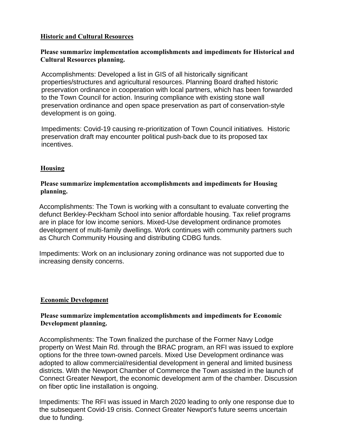## **Historic and Cultural Resources**

# **Please summarize implementation accomplishments and impediments for Historical and Cultural Resources planning.**

Accomplishments: Developed a list in GIS of all historically significant properties/structures and agricultural resources. Planning Board drafted historic preservation ordinance in cooperation with local partners, which has been forwarded to the Town Council for action. Insuring compliance with existing stone wall preservation ordinance and open space preservation as part of conservation-style development is on going.

Impediments: Covid-19 causing re-prioritization of Town Council initiatives. Historic preservation draft may encounter political push-back due to its proposed tax incentives.

### **Housing**

## **Please summarize implementation accomplishments and impediments for Housing planning.**

Accomplishments: The Town is working with a consultant to evaluate converting the defunct Berkley-Peckham School into senior affordable housing. Tax relief programs are in place for low income seniors. Mixed-Use development ordinance promotes development of multi-family dwellings. Work continues with community partners such as Church Community Housing and distributing CDBG funds.

Impediments: Work on an inclusionary zoning ordinance was not supported due to increasing density concerns.

#### **Economic Development**

### **Please summarize implementation accomplishments and impediments for Economic Development planning.**

Accomplishments: The Town finalized the purchase of the Former Navy Lodge property on West Main Rd. through the BRAC program, an RFI was issued to explore options for the three town-owned parcels. Mixed Use Development ordinance was adopted to allow commercial/residential development in general and limited business districts. With the Newport Chamber of Commerce the Town assisted in the launch of Connect Greater Newport, the economic development arm of the chamber. Discussion on fiber optic line installation is ongoing.

Impediments: The RFI was issued in March 2020 leading to only one response due to the subsequent Covid-19 crisis. Connect Greater Newport's future seems uncertain due to funding.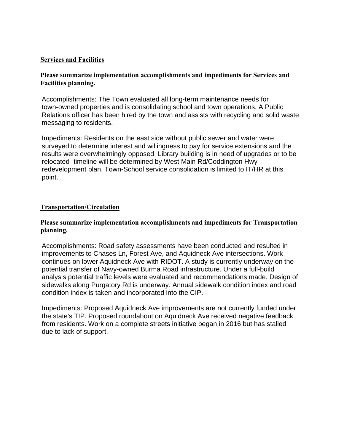#### **Services and Facilities**

### **Please summarize implementation accomplishments and impediments for Services and Facilities planning.**

Accomplishments: The Town evaluated all long-term maintenance needs for town-owned properties and is consolidating school and town operations. A Public Relations officer has been hired by the town and assists with recycling and solid waste messaging to residents.

Impediments: Residents on the east side without public sewer and water were surveyed to determine interest and willingness to pay for service extensions and the results were overwhelmingly opposed. Library building is in need of upgrades or to be relocated- timeline will be determined by West Main Rd/Coddington Hwy redevelopment plan. Town-School service consolidation is limited to IT/HR at this point.

### **Transportation/Circulation**

### **Please summarize implementation accomplishments and impediments for Transportation planning.**

Accomplishments: Road safety assessments have been conducted and resulted in improvements to Chases Ln, Forest Ave, and Aquidneck Ave intersections. Work continues on lower Aquidneck Ave with RIDOT. A study is currently underway on the potential transfer of Navy-owned Burma Road infrastructure. Under a full-build analysis potential traffic levels were evaluated and recommendations made. Design of sidewalks along Purgatory Rd is underway. Annual sidewalk condition index and road condition index is taken and incorporated into the CIP.

Impediments: Proposed Aquidneck Ave improvements are not currently funded under the state's TIP. Proposed roundabout on Aquidneck Ave received negative feedback from residents. Work on a complete streets initiative began in 2016 but has stalled due to lack of support.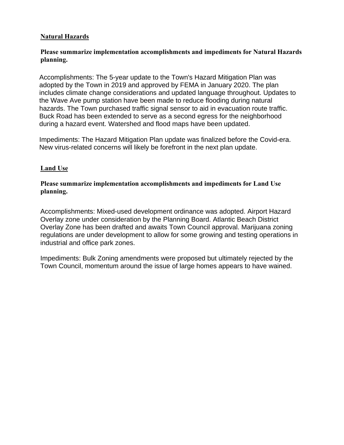## **Natural Hazards**

# **Please summarize implementation accomplishments and impediments for Natural Hazards planning.**

Accomplishments: The 5-year update to the Town's Hazard Mitigation Plan was adopted by the Town in 2019 and approved by FEMA in January 2020. The plan includes climate change considerations and updated language throughout. Updates to the Wave Ave pump station have been made to reduce flooding during natural hazards. The Town purchased traffic signal sensor to aid in evacuation route traffic. Buck Road has been extended to serve as a second egress for the neighborhood during a hazard event. Watershed and flood maps have been updated.

Impediments: The Hazard Mitigation Plan update was finalized before the Covid-era. New virus-related concerns will likely be forefront in the next plan update.

# **Land Use**

## **Please summarize implementation accomplishments and impediments for Land Use planning.**

Accomplishments: Mixed-used development ordinance was adopted. Airport Hazard Overlay zone under consideration by the Planning Board. Atlantic Beach District Overlay Zone has been drafted and awaits Town Council approval. Marijuana zoning regulations are under development to allow for some growing and testing operations in industrial and office park zones.

Impediments: Bulk Zoning amendments were proposed but ultimately rejected by the Town Council, momentum around the issue of large homes appears to have wained.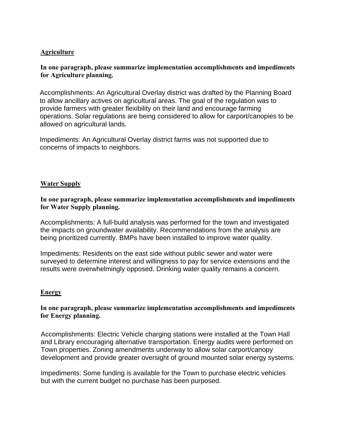## **Agriculture**

## **In one paragraph, please summarize implementation accomplishments and impediments for Agriculture planning.**

Accomplishments: An Agricultural Overlay district was drafted by the Planning Board to allow ancillary actives on agricultural areas. The goal of the regulation was to provide farmers with greater flexibility on their land and encourage farming operations. Solar regulations are being considered to allow for carport/canopies to be allowed on agricultural lands.

Impediments: An Agricultural Overlay district farms was not supported due to concerns of impacts to neighbors.

#### **Water Supply**

#### **In one paragraph, please summarize implementation accomplishments and impediments for Water Supply planning.**

Accomplishments: A full-build analysis was performed for the town and investigated the impacts on groundwater availability. Recommendations from the analysis are being prioritized currently. BMPs have been installed to improve water quality.

Impediments: Residents on the east side without public sewer and water were surveyed to determine interest and willingness to pay for service extensions and the results were overwhelmingly opposed. Drinking water quality remains a concern.

#### **Energy**

#### **In one paragraph, please summarize implementation accomplishments and impediments for Energy planning.**

Accomplishments: Electric Vehicle charging stations were installed at the Town Hall and Library encouraging alternative transportation. Energy audits were performed on Town properties. Zoning amendments underway to allow solar carport/canopy development and provide greater oversight of ground mounted solar energy systems.

Impediments: Some funding is available for the Town to purchase electric vehicles but with the current budget no purchase has been purposed.